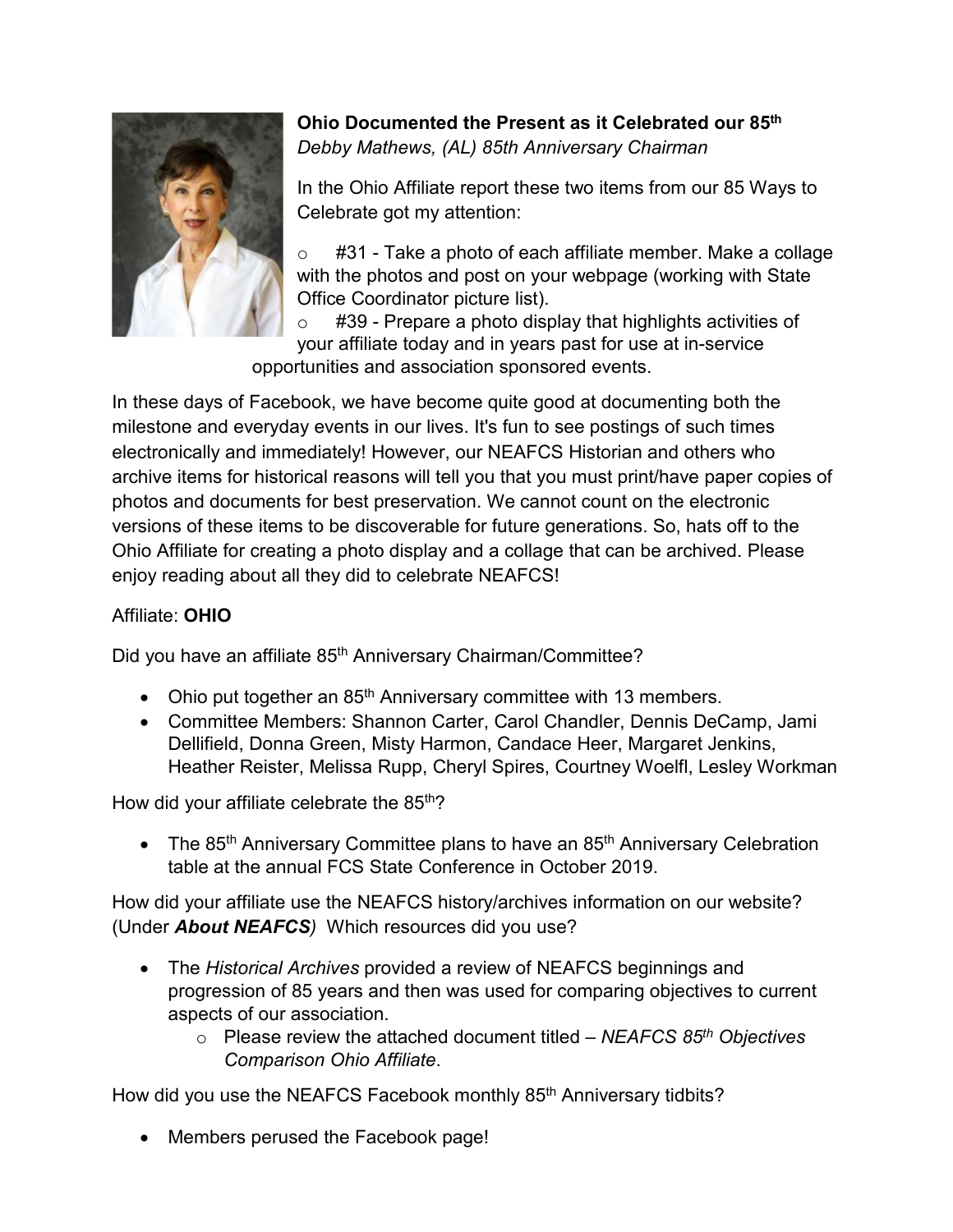

## **Ohio Documented the Present as it Celebrated our 85th** *Debby Mathews, (AL) 85th Anniversary Chairman*

In the Ohio Affiliate report these two items from our 85 Ways to Celebrate got my attention:

#31 - Take a photo of each affiliate member. Make a collage with the photos and post on your webpage (working with State Office Coordinator picture list).

 $\circ$  #39 - Prepare a photo display that highlights activities of your affiliate today and in years past for use at in-service opportunities and association sponsored events.

In these days of Facebook, we have become quite good at documenting both the milestone and everyday events in our lives. It's fun to see postings of such times electronically and immediately! However, our NEAFCS Historian and others who archive items for historical reasons will tell you that you must print/have paper copies of photos and documents for best preservation. We cannot count on the electronic versions of these items to be discoverable for future generations. So, hats off to the Ohio Affiliate for creating a photo display and a collage that can be archived. Please enjoy reading about all they did to celebrate NEAFCS!

## Affiliate: **OHIO**

Did you have an affiliate 85<sup>th</sup> Anniversary Chairman/Committee?

- Ohio put together an 85<sup>th</sup> Anniversary committee with 13 members.
- Committee Members: Shannon Carter, Carol Chandler, Dennis DeCamp, Jami Dellifield, Donna Green, Misty Harmon, Candace Heer, Margaret Jenkins, Heather Reister, Melissa Rupp, Cheryl Spires, Courtney Woelfl, Lesley Workman

How did your affiliate celebrate the 85<sup>th</sup>?

• The 85<sup>th</sup> Anniversary Committee plans to have an 85<sup>th</sup> Anniversary Celebration table at the annual FCS State Conference in October 2019.

How did your affiliate use the NEAFCS history/archives information on our website? (Under *About NEAFCS)* Which resources did you use?

- The *Historical Archives* provided a review of NEAFCS beginnings and progression of 85 years and then was used for comparing objectives to current aspects of our association.
	- o Please review the attached document titled *NEAFCS 85th Objectives Comparison Ohio Affiliate*.

How did you use the NEAFCS Facebook monthly 85<sup>th</sup> Anniversary tidbits?

• Members perused the Facebook page!